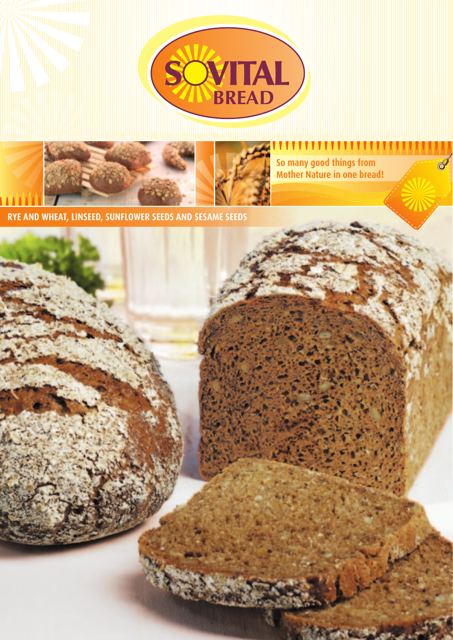



**So many good things from Mother Nature in one bread!**

**RYE AND WHEAT, LINSEED, SUNFLOWER SEEDS AND SESAME SEEDS**